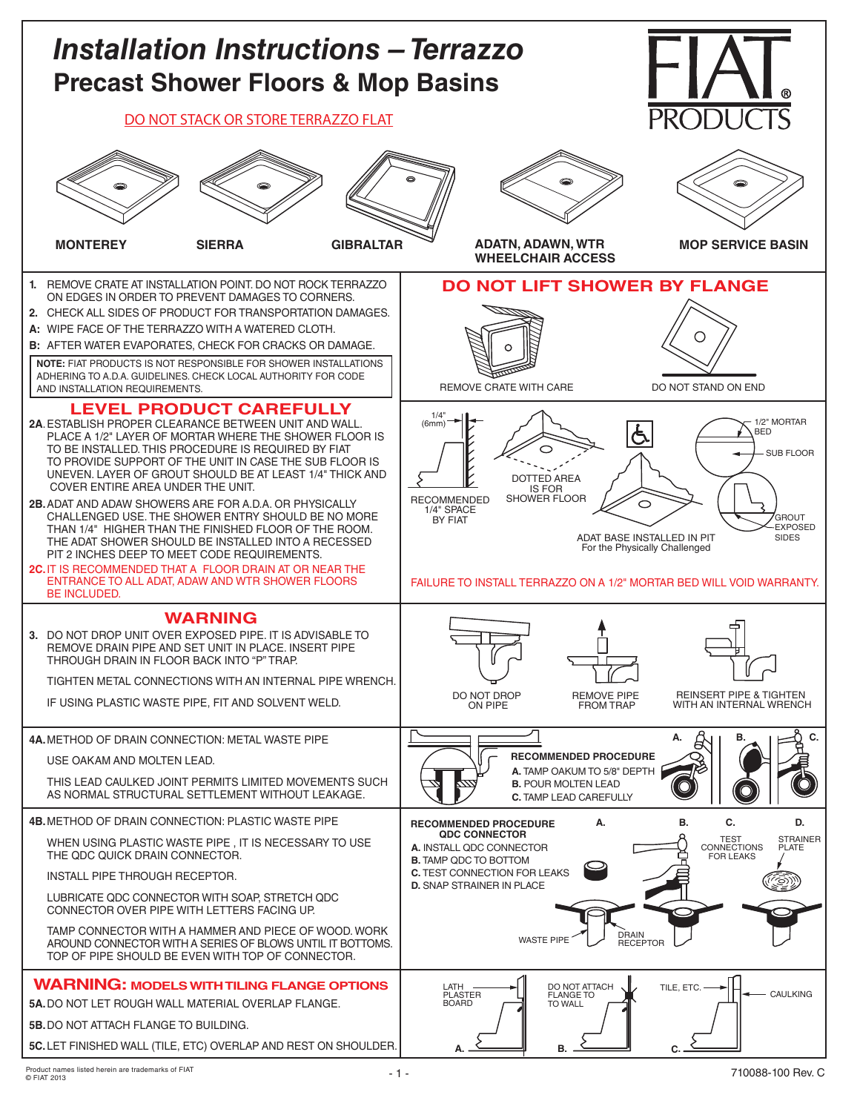